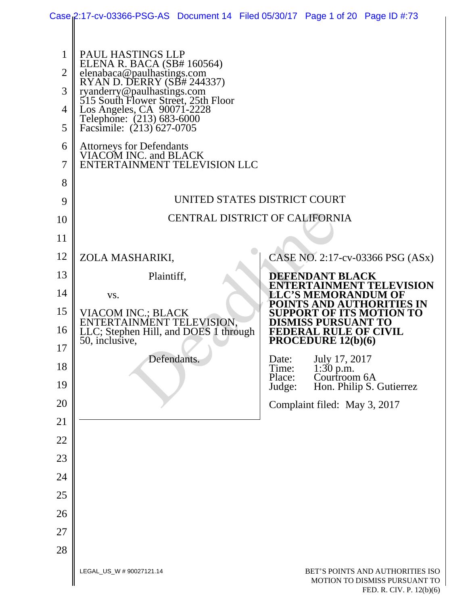|                | Case 2:17-cv-03366-PSG-AS Document 14 Filed 05/30/17 Page 1 of 20 Page ID #:73       |                                       |                  |                                                            |                                                                   |
|----------------|--------------------------------------------------------------------------------------|---------------------------------------|------------------|------------------------------------------------------------|-------------------------------------------------------------------|
|                |                                                                                      |                                       |                  |                                                            |                                                                   |
| 1              | PAUL HASTINGS LLP<br>ELENA R. BACA (SB# 160564)                                      |                                       |                  |                                                            |                                                                   |
| $\overline{2}$ | elenabaca@paulhastings.com<br>RYAN D. DERRY (SB# 244337)                             |                                       |                  |                                                            |                                                                   |
| 3              | ryanderry@paulhastings.com<br>515 South Flower Street, 25th Floor                    |                                       |                  |                                                            |                                                                   |
| 4<br>5         | Los Angeles, CA 90071-2228<br>Telephone: (213) 683-6000<br>Facsimile: (213) 627-0705 |                                       |                  |                                                            |                                                                   |
| 6              |                                                                                      |                                       |                  |                                                            |                                                                   |
| $\overline{7}$ | Attorneys for Defendants<br>VIACOM INC. and BLACK<br>ENTERTAINMENT TELEVISION LLC    |                                       |                  |                                                            |                                                                   |
| 8              |                                                                                      |                                       |                  |                                                            |                                                                   |
| 9              |                                                                                      | UNITED STATES DISTRICT COURT          |                  |                                                            |                                                                   |
| 10             |                                                                                      | <b>CENTRAL DISTRICT OF CALIFORNIA</b> |                  |                                                            |                                                                   |
| 11             |                                                                                      |                                       |                  |                                                            |                                                                   |
| 12             | ZOLA MASHARIKI,                                                                      |                                       |                  |                                                            | CASE NO. 2:17-cv-03366 PSG (ASx)                                  |
| 13             | Plaintiff,                                                                           |                                       |                  | <b>DEFENDANT BLACK</b>                                     |                                                                   |
| 14             | VS.                                                                                  |                                       |                  | <b>LLC'S MEMORANDUM OF</b>                                 | ENTERTAINMENT TELEVISION                                          |
| 15             | VIACOM INC.; BLACK                                                                   |                                       |                  |                                                            | POINTS AND AUTHORITIES IN<br><b>SUPPORT OF ITS MOTION TO</b>      |
| 16             | ENTERTAINMENT TELEVISION,<br>LLC; Stephen Hill, and DOES 1 through                   |                                       |                  | <b>DISMISS PURSUANT TO</b><br><b>FEDERAL RULE OF CIVIL</b> |                                                                   |
| 17             | 50, inclusive,                                                                       |                                       |                  | PROCEDURE 12(b)(6)                                         |                                                                   |
| 18             |                                                                                      | Defendants.                           | Date:<br>Time:   | July 17, 2017<br>$1:30$ p.m.                               |                                                                   |
| 19             |                                                                                      |                                       | Place:<br>Judge: | Courtroom 6A                                               | Hon. Philip S. Gutierrez                                          |
| 20             |                                                                                      |                                       |                  | Complaint filed: May 3, 2017                               |                                                                   |
| 21             |                                                                                      |                                       |                  |                                                            |                                                                   |
| 22             |                                                                                      |                                       |                  |                                                            |                                                                   |
| 23             |                                                                                      |                                       |                  |                                                            |                                                                   |
| 24             |                                                                                      |                                       |                  |                                                            |                                                                   |
| 25             |                                                                                      |                                       |                  |                                                            |                                                                   |
| 26             |                                                                                      |                                       |                  |                                                            |                                                                   |
| 27             |                                                                                      |                                       |                  |                                                            |                                                                   |
| 28             |                                                                                      |                                       |                  |                                                            |                                                                   |
|                | LEGAL_US_W # 90027121.14                                                             |                                       |                  |                                                            | BET'S POINTS AND AUTHORITIES ISO<br>MOTION TO DISMISS PURSUANT TO |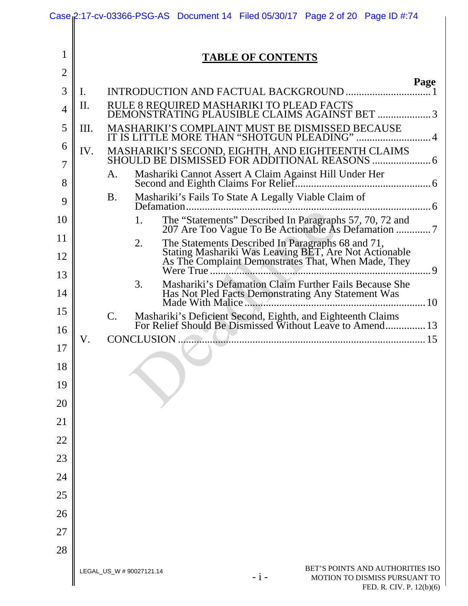|                |     | Case 2:17-cv-03366-PSG-AS Document 14 Filed 05/30/17 Page 2 of 20 Page ID #:74                                                     |
|----------------|-----|------------------------------------------------------------------------------------------------------------------------------------|
|                |     |                                                                                                                                    |
| $\mathbf{1}$   |     | <b>TABLE OF CONTENTS</b>                                                                                                           |
| $\overline{2}$ |     | Page                                                                                                                               |
| 3              | Ι.  |                                                                                                                                    |
| $\overline{4}$ | II. | RULE 8 REQUIRED MASHARIKI TO PLEAD FACTS<br>DEMONSTRATING PLAUSIBLE CLAIMS AGAINST BET 3                                           |
| 5              | Ш.  | MASHARIKI'S COMPLAINT MUST BE DISMISSED BECAUSE<br>IT IS LITTLE MORE THAN "SHOTGUN PLEADING"  4                                    |
| 6              | IV. |                                                                                                                                    |
| 7              |     | A.                                                                                                                                 |
| 8              |     | <b>B.</b>                                                                                                                          |
| 9              |     | Mashariki's Fails To State A Legally Viable Claim of                                                                               |
| 10             |     | The "Statements" Described In Paragraphs 57, 70, 72 and<br>207 Are Too Vague To Be Actionable As Defamation 7<br>1.                |
| 11             |     | 2.                                                                                                                                 |
| 12             |     | . 9                                                                                                                                |
| 13             |     | Mashariki's Defamation Claim Further Fails Because She<br>3.                                                                       |
| 14             |     |                                                                                                                                    |
| 15             |     | C.<br>Mashariki's Deficient Second, Eighth, and Eighteenth Claims<br>For Relief Should Be Dismissed Without Leave to Amend 13      |
| 16             | V.  |                                                                                                                                    |
| 17             |     |                                                                                                                                    |
| 18             |     |                                                                                                                                    |
| 19             |     |                                                                                                                                    |
| 20             |     |                                                                                                                                    |
| 21             |     |                                                                                                                                    |
| 22             |     |                                                                                                                                    |
| 23             |     |                                                                                                                                    |
| 24             |     |                                                                                                                                    |
| 25             |     |                                                                                                                                    |
| 26             |     |                                                                                                                                    |
| 27             |     |                                                                                                                                    |
| 28             |     |                                                                                                                                    |
|                |     | BET'S POINTS AND AUTHORITIES ISO<br>LEGAL_US_W # 90027121.14<br>$-i-$<br>MOTION TO DISMISS PURSUANT TO<br>FED. R. CIV. P. 12(b)(6) |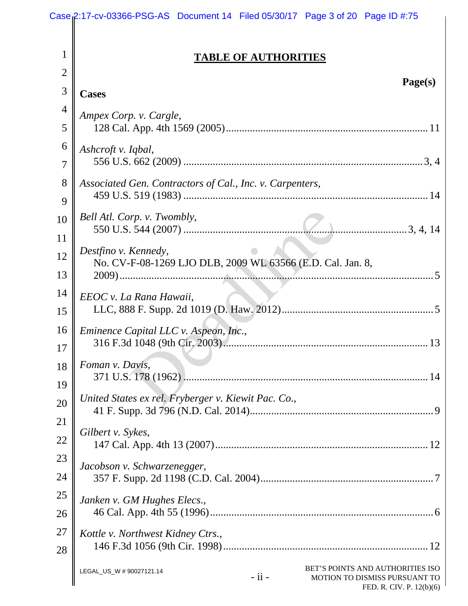|                | Case 2:17-cv-03366-PSG-AS Document 14 Filed 05/30/17 Page 3 of 20 Page ID #:75                                                          |  |  |  |  |  |
|----------------|-----------------------------------------------------------------------------------------------------------------------------------------|--|--|--|--|--|
|                |                                                                                                                                         |  |  |  |  |  |
| 1              | <b>TABLE OF AUTHORITIES</b>                                                                                                             |  |  |  |  |  |
| $\overline{2}$ | Page(s)                                                                                                                                 |  |  |  |  |  |
| 3              | <b>Cases</b>                                                                                                                            |  |  |  |  |  |
| $\overline{4}$ | Ampex Corp. v. Cargle,                                                                                                                  |  |  |  |  |  |
| 5              |                                                                                                                                         |  |  |  |  |  |
| 6              | Ashcroft v. Iqbal,                                                                                                                      |  |  |  |  |  |
| $\overline{7}$ |                                                                                                                                         |  |  |  |  |  |
| 8              | Associated Gen. Contractors of Cal., Inc. v. Carpenters,                                                                                |  |  |  |  |  |
| 9              |                                                                                                                                         |  |  |  |  |  |
| 10             | Bell Atl. Corp. v. Twombly,                                                                                                             |  |  |  |  |  |
| 11             |                                                                                                                                         |  |  |  |  |  |
| 12<br>13       | Destfino v. Kennedy,<br>No. CV-F-08-1269 LJO DLB, 2009 WL 63566 (E.D. Cal. Jan. 8,                                                      |  |  |  |  |  |
| 14             | EEOC v. La Rana Hawaii,                                                                                                                 |  |  |  |  |  |
| 15             |                                                                                                                                         |  |  |  |  |  |
| 16             | Eminence Capital LLC v. Aspeon, Inc.,                                                                                                   |  |  |  |  |  |
| 17             |                                                                                                                                         |  |  |  |  |  |
| 18<br>19       | Foman v. Davis,<br>371 U.S. 178 (1962).                                                                                                 |  |  |  |  |  |
| 20             | United States ex rel. Fryberger v. Kiewit Pac. Co.,                                                                                     |  |  |  |  |  |
| 21             |                                                                                                                                         |  |  |  |  |  |
| 22             | Gilbert v. Sykes,                                                                                                                       |  |  |  |  |  |
| 23             | Jacobson v. Schwarzenegger,                                                                                                             |  |  |  |  |  |
| 24             |                                                                                                                                         |  |  |  |  |  |
| 25             | Janken v. GM Hughes Elecs.,                                                                                                             |  |  |  |  |  |
| 26             |                                                                                                                                         |  |  |  |  |  |
| 27             | Kottle v. Northwest Kidney Ctrs.,                                                                                                       |  |  |  |  |  |
| 28             |                                                                                                                                         |  |  |  |  |  |
|                | BET'S POINTS AND AUTHORITIES ISO<br>LEGAL_US_W # 90027121.14<br>$-$ ii $-$<br>MOTION TO DISMISS PURSUANT TO<br>FED. R. CIV. P. 12(b)(6) |  |  |  |  |  |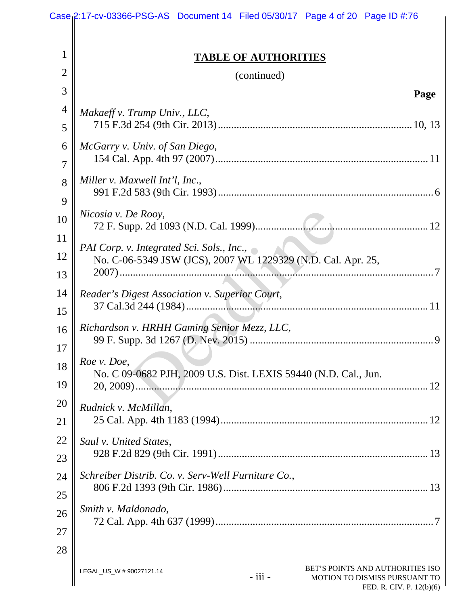|                | Case 2:17-cv-03366-PSG-AS Document 14 Filed 05/30/17 Page 4 of 20 Page ID #:76                                                                 |  |  |  |  |
|----------------|------------------------------------------------------------------------------------------------------------------------------------------------|--|--|--|--|
|                |                                                                                                                                                |  |  |  |  |
| 1              | <b>TABLE OF AUTHORITIES</b>                                                                                                                    |  |  |  |  |
| $\overline{2}$ | (continued)                                                                                                                                    |  |  |  |  |
| 3              | Page                                                                                                                                           |  |  |  |  |
| 4              | Makaeff v. Trump Univ., LLC,                                                                                                                   |  |  |  |  |
| 5              |                                                                                                                                                |  |  |  |  |
| 6              | McGarry v. Univ. of San Diego,                                                                                                                 |  |  |  |  |
| 7              |                                                                                                                                                |  |  |  |  |
| 8              | Miller v. Maxwell Int'l, Inc.,                                                                                                                 |  |  |  |  |
| 9              |                                                                                                                                                |  |  |  |  |
| 10             | Nicosia v. De Rooy,                                                                                                                            |  |  |  |  |
| 11             |                                                                                                                                                |  |  |  |  |
| 12             | PAI Corp. v. Integrated Sci. Sols., Inc., $\sim$<br>No. C-06-5349 JSW (JCS), 2007 WL 1229329 (N.D. Cal. Apr. 25,                               |  |  |  |  |
| 13             |                                                                                                                                                |  |  |  |  |
| 14             | Reader's Digest Association v. Superior Court,                                                                                                 |  |  |  |  |
| 15             |                                                                                                                                                |  |  |  |  |
| 16             | Richardson v. HRHH Gaming Senior Mezz, LLC,                                                                                                    |  |  |  |  |
| 17             |                                                                                                                                                |  |  |  |  |
| 18             | Roe v. Doe,<br>No. C 09-0682 PJH, 2009 U.S. Dist. LEXIS 59440 (N.D. Cal., Jun.                                                                 |  |  |  |  |
| 19             |                                                                                                                                                |  |  |  |  |
| 20             | Rudnick v. McMillan,                                                                                                                           |  |  |  |  |
| 21             |                                                                                                                                                |  |  |  |  |
| 22             | Saul v. United States,                                                                                                                         |  |  |  |  |
| 23             |                                                                                                                                                |  |  |  |  |
| 24             | Schreiber Distrib. Co. v. Serv-Well Furniture Co.,                                                                                             |  |  |  |  |
| 25             |                                                                                                                                                |  |  |  |  |
| 26             | Smith v. Maldonado,                                                                                                                            |  |  |  |  |
| 27             |                                                                                                                                                |  |  |  |  |
| 28             |                                                                                                                                                |  |  |  |  |
|                | BET'S POINTS AND AUTHORITIES ISO<br>LEGAL_US_W # 90027121.14<br>$-$ iii $-$<br>MOTION TO DISMISS PURSUANT TO<br>$FFD$ $R$ $CIV$ $P$ $12(h)(6)$ |  |  |  |  |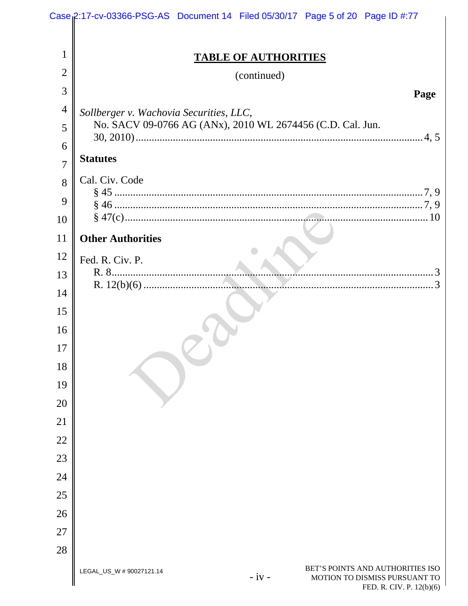|                | Case 2:17-cv-03366-PSG-AS Document 14 Filed 05/30/17 Page 5 of 20 Page ID #:77                                                     |  |  |  |  |
|----------------|------------------------------------------------------------------------------------------------------------------------------------|--|--|--|--|
|                |                                                                                                                                    |  |  |  |  |
| 1              | <b>TABLE OF AUTHORITIES</b>                                                                                                        |  |  |  |  |
| $\overline{2}$ | (continued)                                                                                                                        |  |  |  |  |
| 3              | Page                                                                                                                               |  |  |  |  |
| $\overline{4}$ | Sollberger v. Wachovia Securities, LLC,                                                                                            |  |  |  |  |
| 5              | No. SACV 09-0766 AG (ANx), 2010 WL 2674456 (C.D. Cal. Jun.                                                                         |  |  |  |  |
| 6              |                                                                                                                                    |  |  |  |  |
| $\overline{7}$ | <b>Statutes</b>                                                                                                                    |  |  |  |  |
| 8              | Cal. Civ. Code                                                                                                                     |  |  |  |  |
| 9              |                                                                                                                                    |  |  |  |  |
| 10             |                                                                                                                                    |  |  |  |  |
| 11             | <b>Other Authorities</b>                                                                                                           |  |  |  |  |
| 12             | Fed. R. Civ. P.                                                                                                                    |  |  |  |  |
| 13             |                                                                                                                                    |  |  |  |  |
| 14             |                                                                                                                                    |  |  |  |  |
| 15             |                                                                                                                                    |  |  |  |  |
| 16             |                                                                                                                                    |  |  |  |  |
| 17             |                                                                                                                                    |  |  |  |  |
| 18             |                                                                                                                                    |  |  |  |  |
| 19             |                                                                                                                                    |  |  |  |  |
| 20             |                                                                                                                                    |  |  |  |  |
| 21             |                                                                                                                                    |  |  |  |  |
| 22             |                                                                                                                                    |  |  |  |  |
| 23             |                                                                                                                                    |  |  |  |  |
| 24             |                                                                                                                                    |  |  |  |  |
| 25             |                                                                                                                                    |  |  |  |  |
| 26             |                                                                                                                                    |  |  |  |  |
| 27             |                                                                                                                                    |  |  |  |  |
| 28             |                                                                                                                                    |  |  |  |  |
|                | BET'S POINTS AND AUTHORITIES ISO<br>LEGAL_US_W # 90027121.14<br>$-iv -$<br>MOTION TO DISMISS PURSUANT TO<br>FED R CIV P $12(b)(6)$ |  |  |  |  |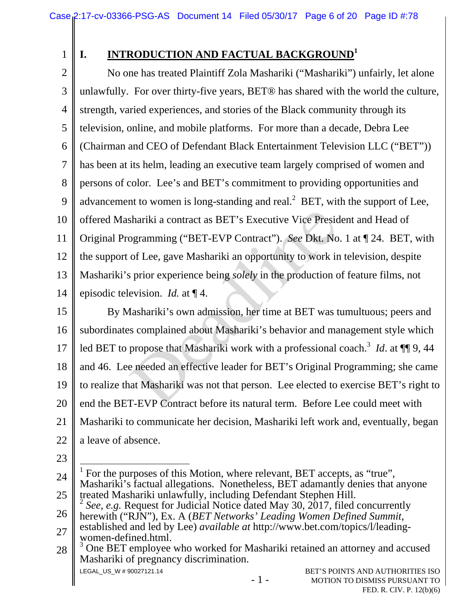1

# **I. INTRODUCTION AND FACTUAL BACKGROUND<sup>1</sup>**

2 3 4 5 6 7 8 9 10 11 12 13 14 No one has treated Plaintiff Zola Mashariki ("Mashariki") unfairly, let alone unlawfully. For over thirty-five years, BET® has shared with the world the culture, strength, varied experiences, and stories of the Black community through its television, online, and mobile platforms. For more than a decade, Debra Lee (Chairman and CEO of Defendant Black Entertainment Television LLC ("BET")) has been at its helm, leading an executive team largely comprised of women and persons of color. Lee's and BET's commitment to providing opportunities and advancement to women is long-standing and real. $2$  BET, with the support of Lee, offered Mashariki a contract as BET's Executive Vice President and Head of Original Programming ("BET-EVP Contract"). *See* Dkt. No. 1 at ¶ 24. BET, with the support of Lee, gave Mashariki an opportunity to work in television, despite Mashariki's prior experience being *solely* in the production of feature films, not episodic television. *Id.* at ¶ 4.

15 16 17 18 19 20 21 22 By Mashariki's own admission, her time at BET was tumultuous; peers and subordinates complained about Mashariki's behavior and management style which led BET to propose that Mashariki work with a professional coach.<sup>3</sup> *Id*. at  $\P\P$ 9,44 and 46. Lee needed an effective leader for BET's Original Programming; she came to realize that Mashariki was not that person. Lee elected to exercise BET's right to end the BET-EVP Contract before its natural term. Before Lee could meet with Mashariki to communicate her decision, Mashariki left work and, eventually, began a leave of absence. shariki a contract as BET's Executive Vice Presic<br>ogramming ("BET-EVP Contract"). See Dkt. No<br>of Lee, gave Mashariki an opportunity to work in<br>sprior experience being *solely* in the production c<br>evision. Id. at ¶ 4.<br>fasha

23

LEGAL\_US\_W # 90027121.14 - 1 - BET'S POINTS AND AUTHORITIES ISO 24 25 26 27 28  $\overline{a}$ 1 For the purposes of this Motion, where relevant, BET accepts, as "true", Mashariki's factual allegations. Nonetheless, BET adamantly denies that anyone treated Mashariki unlawfully, including Defendant Stephen Hill. <sup>2</sup> *See, e.g.* Request for Judicial Notice dated May 30, 2017, filed concurrently herewith ("RJN"), Ex. A (*BET Networks' Leading Women Defined Summit*, established and led by Lee) *available at* http://www.bet.com/topics/l/leadingwomen-defined.html. <sup>3</sup> One BET employee who worked for Mashariki retained an attorney and accused Mashariki of pregnancy discrimination.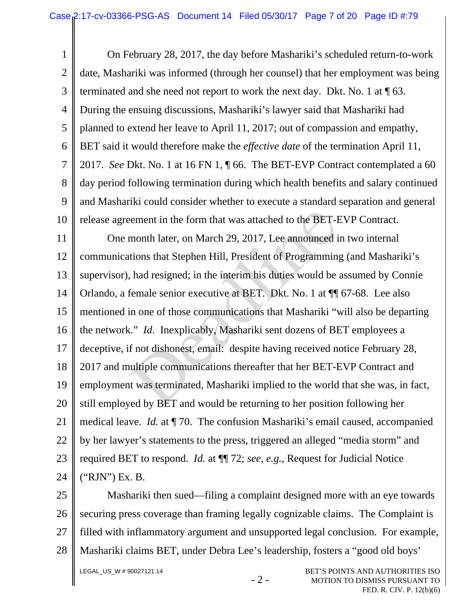1 2 3 4 5 6 7 8 9 10 On February 28, 2017, the day before Mashariki's scheduled return-to-work date, Mashariki was informed (through her counsel) that her employment was being terminated and she need not report to work the next day. Dkt. No. 1 at ¶ 63. During the ensuing discussions, Mashariki's lawyer said that Mashariki had planned to extend her leave to April 11, 2017; out of compassion and empathy, BET said it would therefore make the *effective date* of the termination April 11, 2017. *See* Dkt. No. 1 at 16 FN 1, ¶ 66. The BET-EVP Contract contemplated a 60 day period following termination during which health benefits and salary continued and Mashariki could consider whether to execute a standard separation and general release agreement in the form that was attached to the BET-EVP Contract.

11 12 13 14 15 16 17 18 19 20 21 22 23 24 One month later, on March 29, 2017, Lee announced in two internal communications that Stephen Hill, President of Programming (and Mashariki's supervisor), had resigned; in the interim his duties would be assumed by Connie Orlando, a female senior executive at BET. Dkt. No. 1 at ¶¶ 67-68. Lee also mentioned in one of those communications that Mashariki "will also be departing the network." *Id*. Inexplicably, Mashariki sent dozens of BET employees a deceptive, if not dishonest, email: despite having received notice February 28, 2017 and multiple communications thereafter that her BET-EVP Contract and employment was terminated, Mashariki implied to the world that she was, in fact, still employed by BET and would be returning to her position following her medical leave. *Id.* at ¶ 70. The confusion Mashariki's email caused, accompanied by her lawyer's statements to the press, triggered an alleged "media storm" and required BET to respond. *Id.* at ¶¶ 72; *see, e.g.*, Request for Judicial Notice ("RJN") Ex. B. eement in the form that was attached to the BET-H<br>month later, on March 29, 2017, Lee announced i<br>tions that Stephen Hill, President of Programmin,<br>had resigned; in the interim his duties would be<br>female senior executive a

25 26 27 28 Mashariki then sued—filing a complaint designed more with an eye towards securing press coverage than framing legally cognizable claims. The Complaint is filled with inflammatory argument and unsupported legal conclusion. For example, Mashariki claims BET, under Debra Lee's leadership, fosters a "good old boys'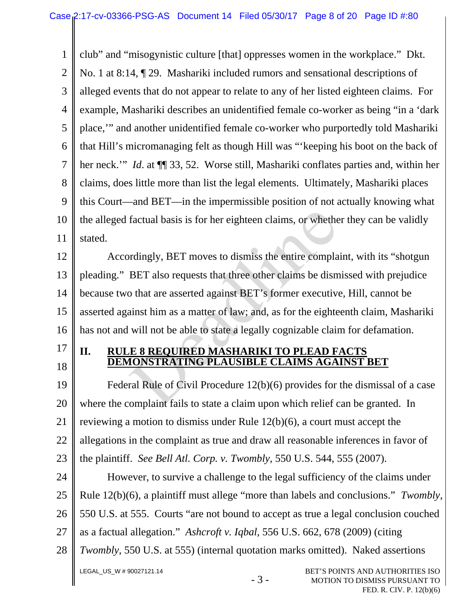1 2 3 4 5 6 7 8 9 10 11 club" and "misogynistic culture [that] oppresses women in the workplace." Dkt. No. 1 at 8:14, ¶ 29. Mashariki included rumors and sensational descriptions of alleged events that do not appear to relate to any of her listed eighteen claims. For example, Mashariki describes an unidentified female co-worker as being "in a 'dark place,'" and another unidentified female co-worker who purportedly told Mashariki that Hill's micromanaging felt as though Hill was "'keeping his boot on the back of her neck.'" *Id*. at ¶¶ 33, 52. Worse still, Mashariki conflates parties and, within her claims, does little more than list the legal elements. Ultimately, Mashariki places this Court—and BET—in the impermissible position of not actually knowing what the alleged factual basis is for her eighteen claims, or whether they can be validly stated.

12 13 14 15 16 Accordingly, BET moves to dismiss the entire complaint, with its "shotgun pleading." BET also requests that three other claims be dismissed with prejudice because two that are asserted against BET's former executive, Hill, cannot be asserted against him as a matter of law; and, as for the eighteenth claim, Mashariki has not and will not be able to state a legally cognizable claim for defamation. factual basis is for her eighteen claims, or whether<br>ordingly, BET moves to dismiss the entire compla<br>BET also requests that three other claims be dism<br>o that are asserted against BET's former executive<br>innst him as a matt

17

18

## **II. RULE 8 REQUIRED MASHARIKI TO PLEAD FACTS DEMONSTRATING PLAUSIBLE CLAIMS AGAINST BET**

19 20 21 22 23 Federal Rule of Civil Procedure 12(b)(6) provides for the dismissal of a case where the complaint fails to state a claim upon which relief can be granted. In reviewing a motion to dismiss under Rule 12(b)(6), a court must accept the allegations in the complaint as true and draw all reasonable inferences in favor of the plaintiff. *See Bell Atl. Corp. v. Twombly*, 550 U.S. 544, 555 (2007).

LEGAL\_US\_W # 90027121.14 BET'S POINTS AND AUTHORITIES ISO 24 25 26 27 28 However, to survive a challenge to the legal sufficiency of the claims under Rule 12(b)(6), a plaintiff must allege "more than labels and conclusions." *Twombly*, 550 U.S. at 555. Courts "are not bound to accept as true a legal conclusion couched as a factual allegation." *Ashcroft v. Iqbal*, 556 U.S. 662, 678 (2009) (citing *Twombly*, 550 U.S. at 555) (internal quotation marks omitted). Naked assertions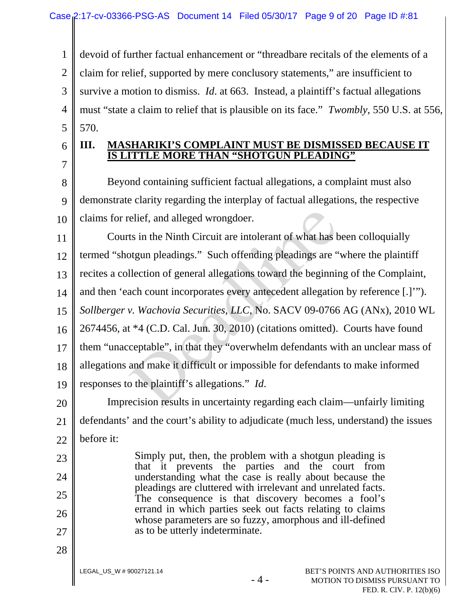1 devoid of further factual enhancement or "threadbare recitals of the elements of a

2 claim for relief, supported by mere conclusory statements," are insufficient to

3 survive a motion to dismiss. *Id*. at 663. Instead, a plaintiff's factual allegations

4 5 must "state a claim to relief that is plausible on its face." *Twombly*, 550 U.S. at 556, 570.

6 7

23

24

25

26

27

28

## **III. MASHARIKI'S COMPLAINT MUST BE DISMISSED BECAUSE IT IS LITTLE MORE THAN "SHOTGUN PLEADING"**

8 9 10 Beyond containing sufficient factual allegations, a complaint must also demonstrate clarity regarding the interplay of factual allegations, the respective claims for relief, and alleged wrongdoer.

11 12 13 14 15 16 17 18 19 Courts in the Ninth Circuit are intolerant of what has been colloquially termed "shotgun pleadings." Such offending pleadings are "where the plaintiff recites a collection of general allegations toward the beginning of the Complaint, and then 'each count incorporates every antecedent allegation by reference [.]'"). *Sollberger v. Wachovia Securities, LLC*, No. SACV 09-0766 AG (ANx), 2010 WL 2674456, at \*4 (C.D. Cal. Jun. 30, 2010) (citations omitted). Courts have found them "unacceptable", in that they "overwhelm defendants with an unclear mass of allegations and make it difficult or impossible for defendants to make informed responses to the plaintiff's allegations." *Id*. elief, and alleged wrongdoer.<br>ts in the Ninth Circuit are intolerant of what has b<br>otgun pleadings." Such offending pleadings are "<br>llection of general allegations toward the beginnin<br>ach count incorporates every anteceden

20 21 22 Imprecision results in uncertainty regarding each claim—unfairly limiting defendants' and the court's ability to adjudicate (much less, understand) the issues before it:

> Simply put, then, the problem with a shotgun pleading is that it prevents the parties and the court from understanding what the case is really about because the pleadings are cluttered with irrelevant and unrelated facts. The consequence is that discovery becomes a fool's errand in which parties seek out facts relating to claims whose parameters are so fuzzy, amorphous and ill-defined as to be utterly indeterminate.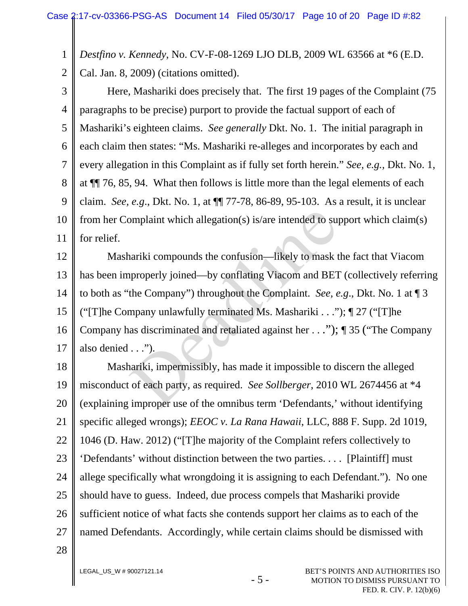1 *Destfino v. Kennedy*, No. CV-F-08-1269 LJO DLB, 2009 WL 63566 at \*6 (E.D.

2 Cal. Jan. 8, 2009) (citations omitted).

3 4 5 6 7 8 9 10 11 Here, Mashariki does precisely that. The first 19 pages of the Complaint (75 paragraphs to be precise) purport to provide the factual support of each of Mashariki's eighteen claims. *See generally* Dkt. No. 1. The initial paragraph in each claim then states: "Ms. Mashariki re-alleges and incorporates by each and every allegation in this Complaint as if fully set forth herein." *See, e.g.,* Dkt. No. 1, at ¶¶ 76, 85, 94. What then follows is little more than the legal elements of each claim. *See, e.g*., Dkt. No. 1, at ¶¶ 77-78, 86-89, 95-103. As a result, it is unclear from her Complaint which allegation(s) is/are intended to support which claim(s) for relief.

12 13 14 15 16 17 Mashariki compounds the confusion—likely to mask the fact that Viacom has been improperly joined—by conflating Viacom and BET (collectively referring to both as "the Company") throughout the Complaint. *See, e.g*., Dkt. No. 1 at ¶ 3 ("[T]he Company unlawfully terminated Ms. Mashariki . . .");  $\P$  27 ("[T]he Company has discriminated and retaliated against her . . ."); ¶ 35 ("The Company also denied . . ."). omplaint which allegation(s) is/are intended to suppose<br>
nariki compounds the confusion—likely to mask thereoperly joined—by conflating Viacom and BET<br>
the Company") throughout the Complaint. *See, e*<br>
mpany unlawfully te

18 19 20 21 22 23 24 25 26 27 Mashariki, impermissibly, has made it impossible to discern the alleged misconduct of each party, as required. *See Sollberger*, 2010 WL 2674456 at \*4 (explaining improper use of the omnibus term 'Defendants,' without identifying specific alleged wrongs); *EEOC v. La Rana Hawaii*, LLC, 888 F. Supp. 2d 1019, 1046 (D. Haw. 2012) ("[T]he majority of the Complaint refers collectively to 'Defendants' without distinction between the two parties. . . . [Plaintiff] must allege specifically what wrongdoing it is assigning to each Defendant."). No one should have to guess. Indeed, due process compels that Mashariki provide sufficient notice of what facts she contends support her claims as to each of the named Defendants. Accordingly, while certain claims should be dismissed with

28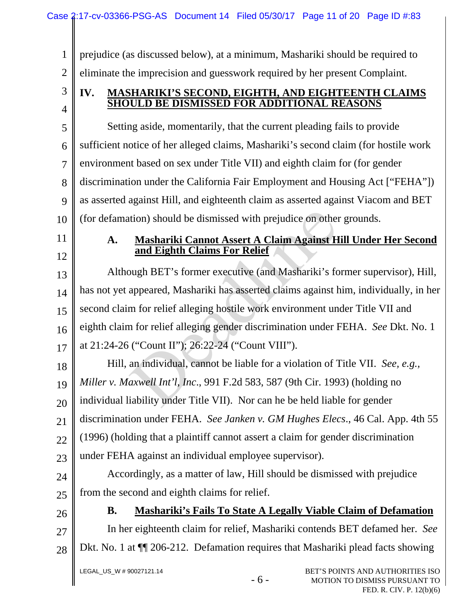1 2 prejudice (as discussed below), at a minimum, Mashariki should be required to eliminate the imprecision and guesswork required by her present Complaint.

## **IV. MASHARIKI'S SECOND, EIGHTH, AND EIGHTEENTH CLAIMS SHOULD BE DISMISSED FOR ADDITIONAL REASONS**

5 6 7 8 9 10 Setting aside, momentarily, that the current pleading fails to provide sufficient notice of her alleged claims, Mashariki's second claim (for hostile work environment based on sex under Title VII) and eighth claim for (for gender discrimination under the California Fair Employment and Housing Act ["FEHA"]) as asserted against Hill, and eighteenth claim as asserted against Viacom and BET (for defamation) should be dismissed with prejudice on other grounds.

11

3

4

12

## **A. Mashariki Cannot Assert A Claim Against Hill Under Her Second and Eighth Claims For Relief**

13 14 15 16 17 Although BET's former executive (and Mashariki's former supervisor), Hill, has not yet appeared, Mashariki has asserted claims against him, individually, in her second claim for relief alleging hostile work environment under Title VII and eighth claim for relief alleging gender discrimination under FEHA. *See* Dkt. No. 1 at 21:24-26 ("Count II"); 26:22-24 ("Count VIII"). tion) should be dismissed with prejudice on other<br> **Mashariki Cannot Assert A Claim Against H**<br>
and Eighth Claims For Relief<br>
pugh BET's former executive (and Mashariki's for<br>
appeared, Mashariki has asserted claims again

18 19 20 21 22 23 Hill, an individual, cannot be liable for a violation of Title VII. *See, e.g., Miller v. Maxwell Int'l, Inc*., 991 F.2d 583, 587 (9th Cir. 1993) (holding no individual liability under Title VII). Nor can he be held liable for gender discrimination under FEHA. *See Janken v. GM Hughes Elecs*., 46 Cal. App. 4th 55 (1996) (holding that a plaintiff cannot assert a claim for gender discrimination under FEHA against an individual employee supervisor).

24 25 Accordingly, as a matter of law, Hill should be dismissed with prejudice from the second and eighth claims for relief.

26

27

**B. Mashariki's Fails To State A Legally Viable Claim of Defamation**  In her eighteenth claim for relief, Mashariki contends BET defamed her. *See*

28

Dkt. No. 1 at ¶¶ 206-212. Defamation requires that Mashariki plead facts showing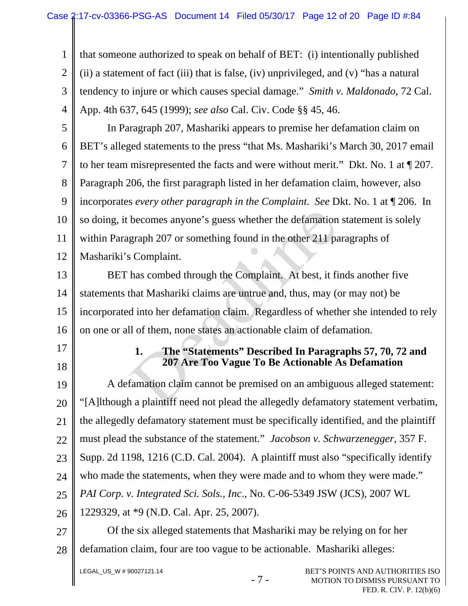1 2 3 4 that someone authorized to speak on behalf of BET: (i) intentionally published (ii) a statement of fact (iii) that is false, (iv) unprivileged, and (v) "has a natural tendency to injure or which causes special damage." *Smith v. Maldonado,* 72 Cal. App. 4th 637, 645 (1999); *see also* Cal. Civ. Code §§ 45, 46.

5 6 7 8 9 10 11 12 In Paragraph 207, Mashariki appears to premise her defamation claim on BET's alleged statements to the press "that Ms. Mashariki's March 30, 2017 email to her team misrepresented the facts and were without merit." Dkt. No. 1 at ¶ 207. Paragraph 206, the first paragraph listed in her defamation claim, however, also incorporates *every other paragraph in the Complaint*. *See* Dkt. No. 1 at ¶ 206. In so doing, it becomes anyone's guess whether the defamation statement is solely within Paragraph 207 or something found in the other 211 paragraphs of Mashariki's Complaint.

13 14 15 16 BET has combed through the Complaint. At best, it finds another five statements that Mashariki claims are untrue and, thus, may (or may not) be incorporated into her defamation claim. Regardless of whether she intended to rely on one or all of them, none states an actionable claim of defamation. becomes anyone's guess whether the defamation<br>graph 207 or something found in the other 211 pa<br>s Complaint.<br>has combed through the Complaint. At best, it fi<br>that Mashariki claims are untrue and, thus, may (d<br>into her defam

- 17
- 18

### **1. The "Statements" Described In Paragraphs 57, 70, 72 and 207 Are Too Vague To Be Actionable As Defamation**

19 20 21 22 23 24 25 26 27 A defamation claim cannot be premised on an ambiguous alleged statement: "[A]lthough a plaintiff need not plead the allegedly defamatory statement verbatim, the allegedly defamatory statement must be specifically identified, and the plaintiff must plead the substance of the statement." *Jacobson v. Schwarzenegger*, 357 F. Supp. 2d 1198, 1216 (C.D. Cal. 2004). A plaintiff must also "specifically identify who made the statements, when they were made and to whom they were made." *PAI Corp. v. Integrated Sci. Sols., Inc*., No. C-06-5349 JSW (JCS), 2007 WL 1229329, at \*9 (N.D. Cal. Apr. 25, 2007). Of the six alleged statements that Mashariki may be relying on for her

28 defamation claim, four are too vague to be actionable. Mashariki alleges: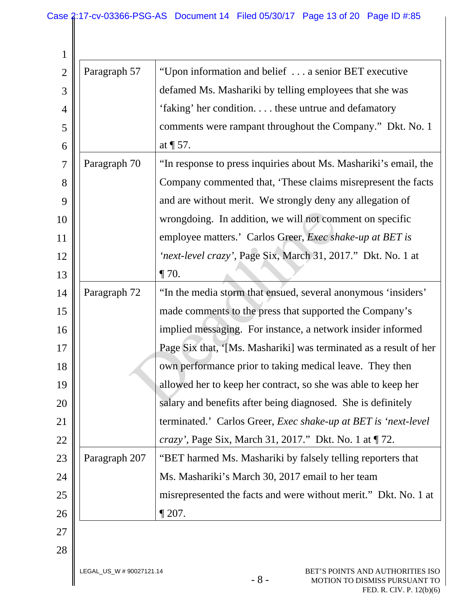| 1              |                          |                                                                            |
|----------------|--------------------------|----------------------------------------------------------------------------|
| $\overline{2}$ | Paragraph 57             | "Upon information and belief  a senior BET executive                       |
| 3              |                          | defamed Ms. Mashariki by telling employees that she was                    |
| 4              |                          | 'faking' her condition these untrue and defamatory                         |
| 5              |                          | comments were rampant throughout the Company." Dkt. No. 1                  |
| 6              |                          | at $\P$ 57.                                                                |
| 7              | Paragraph 70             | "In response to press inquiries about Ms. Mashariki's email, the           |
| 8              |                          | Company commented that, 'These claims misrepresent the facts               |
| 9              |                          | and are without merit. We strongly deny any allegation of                  |
| 10             |                          | wrongdoing. In addition, we will not comment on specific                   |
| 11             |                          | employee matters.' Carlos Greer, <i>Exec shake-up at BET is</i>            |
| 12             |                          | 'next-level crazy', Page Six, March 31, 2017." Dkt. No. 1 at               |
| 13             |                          | $\P$ 70.                                                                   |
| 14             | Paragraph 72             | "In the media storm that ensued, several anonymous 'insiders'              |
| 15             |                          | made comments to the press that supported the Company's                    |
| 16             |                          | implied messaging. For instance, a network insider informed                |
| 17             |                          | Page Six that, '[Ms. Mashariki] was terminated as a result of her          |
| 18             |                          | own performance prior to taking medical leave. They then                   |
| 19             |                          | allowed her to keep her contract, so she was able to keep her              |
| 20             |                          | salary and benefits after being diagnosed. She is definitely               |
| 21             |                          | terminated.' Carlos Greer, Exec shake-up at BET is 'next-level             |
| 22             |                          | <i>crazy'</i> , Page Six, March 31, 2017." Dkt. No. 1 at ¶72.              |
| 23             | Paragraph 207            | "BET harmed Ms. Mashariki by falsely telling reporters that                |
| 24             |                          | Ms. Mashariki's March 30, 2017 email to her team                           |
| 25             |                          | misrepresented the facts and were without merit." Dkt. No. 1 at            |
| 26             |                          | $\P$ 207.                                                                  |
| 27             |                          |                                                                            |
| 28             |                          |                                                                            |
|                | LEGAL_US_W # 90027121.14 | BET'S POINTS AND AUTHORITIES ISO<br>$-8-$<br>MOTION TO DISMISS PURSUANT TO |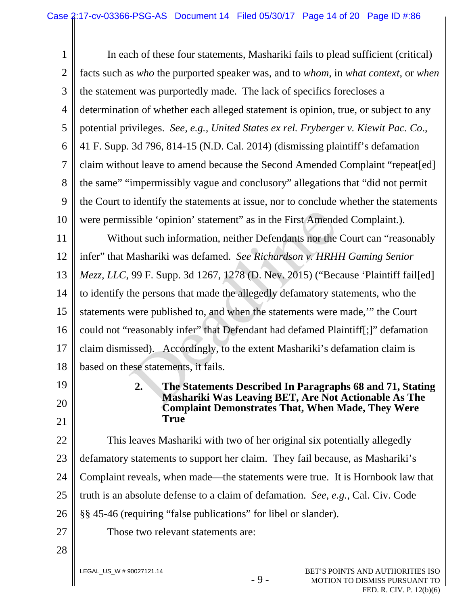1 2 3 4 5 6 7 8 9 10 11 12 13 14 15 16 17 18 19 20 21 22 23 24 25 26 27 28 In each of these four statements, Mashariki fails to plead sufficient (critical) facts such as *who* the purported speaker was, and to *whom*, in *what context*, or *when* the statement was purportedly made. The lack of specifics forecloses a determination of whether each alleged statement is opinion, true, or subject to any potential privileges. *See, e.g., United States ex rel. Fryberger v. Kiewit Pac. Co*., 41 F. Supp. 3d 796, 814-15 (N.D. Cal. 2014) (dismissing plaintiff's defamation claim without leave to amend because the Second Amended Complaint "repeat[ed] the same" "impermissibly vague and conclusory" allegations that "did not permit the Court to identify the statements at issue, nor to conclude whether the statements were permissible 'opinion' statement" as in the First Amended Complaint.). Without such information, neither Defendants nor the Court can "reasonably infer" that Mashariki was defamed. *See Richardson v. HRHH Gaming Senior Mezz, LLC*, 99 F. Supp. 3d 1267, 1278 (D. Nev. 2015) ("Because 'Plaintiff fail[ed] to identify the persons that made the allegedly defamatory statements, who the statements were published to, and when the statements were made,'" the Court could not "reasonably infer" that Defendant had defamed Plaintiff[;]" defamation claim dismissed). Accordingly, to the extent Mashariki's defamation claim is based on these statements, it fails. **2. The Statements Described In Paragraphs 68 and 71, Stating Mashariki Was Leaving BET, Are Not Actionable As The Complaint Demonstrates That, When Made, They Were True**  This leaves Mashariki with two of her original six potentially allegedly defamatory statements to support her claim. They fail because, as Mashariki's Complaint reveals, when made—the statements were true. It is Hornbook law that truth is an absolute defense to a claim of defamation. *See, e.g.*, Cal. Civ. Code §§ 45-46 (requiring "false publications" for libel or slander). Those two relevant statements are: ssible 'opinion' statement" as in the First Amend<br>
out such information, neither Defendants nor the<br>
Mashariki was defamed. *See Richardson v. HRH.*<br>
99 F. Supp. 3d 1267, 1278 (D. Nev. 2015) ("Bec<br>
the persons that made th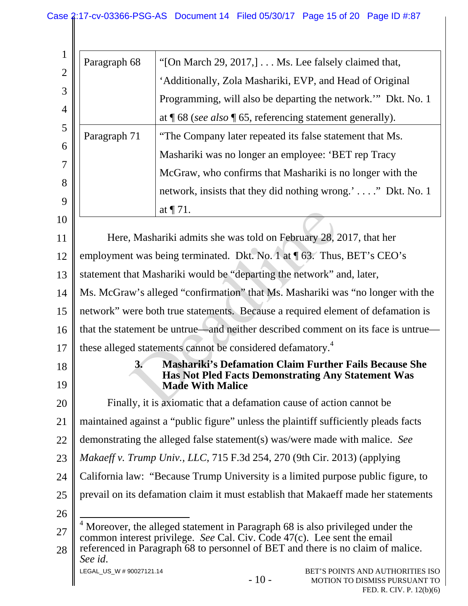| Paragraph 68                                                                                                                                                                                                                               |                                                                        |        | "[On March 29, 2017,] $\dots$ Ms. Lee falsely claimed that,                                                                |  |
|--------------------------------------------------------------------------------------------------------------------------------------------------------------------------------------------------------------------------------------------|------------------------------------------------------------------------|--------|----------------------------------------------------------------------------------------------------------------------------|--|
|                                                                                                                                                                                                                                            |                                                                        |        | 'Additionally, Zola Mashariki, EVP, and Head of Original                                                                   |  |
|                                                                                                                                                                                                                                            |                                                                        |        | Programming, will also be departing the network." Dkt. No. 1                                                               |  |
|                                                                                                                                                                                                                                            |                                                                        |        | at $\P$ 68 (see also $\P$ 65, referencing statement generally).                                                            |  |
| Paragraph 71                                                                                                                                                                                                                               |                                                                        |        | "The Company later repeated its false statement that Ms.                                                                   |  |
|                                                                                                                                                                                                                                            |                                                                        |        | Mashariki was no longer an employee: 'BET rep Tracy                                                                        |  |
|                                                                                                                                                                                                                                            |                                                                        |        | McGraw, who confirms that Mashariki is no longer with the                                                                  |  |
|                                                                                                                                                                                                                                            |                                                                        |        | network, insists that they did nothing wrong.'" Dkt. No. 1                                                                 |  |
|                                                                                                                                                                                                                                            | at $\P$ 71.                                                            |        |                                                                                                                            |  |
|                                                                                                                                                                                                                                            |                                                                        |        |                                                                                                                            |  |
| Here, Mashariki admits she was told on February 28, 2017, that her                                                                                                                                                                         |                                                                        |        |                                                                                                                            |  |
| employment was being terminated. Dkt. No. 1 at ¶ 63. Thus, BET's CEO's                                                                                                                                                                     |                                                                        |        |                                                                                                                            |  |
| statement that Mashariki would be "departing the network" and, later,                                                                                                                                                                      |                                                                        |        |                                                                                                                            |  |
| Ms. McGraw's alleged "confirmation" that Ms. Mashariki was "no longer with the                                                                                                                                                             |                                                                        |        |                                                                                                                            |  |
| network" were both true statements. Because a required element of defamation is                                                                                                                                                            |                                                                        |        |                                                                                                                            |  |
| that the statement be untrue—and neither described comment on its face is untrue—                                                                                                                                                          |                                                                        |        |                                                                                                                            |  |
|                                                                                                                                                                                                                                            | these alleged statements cannot be considered defamatory. <sup>4</sup> |        |                                                                                                                            |  |
| 3.                                                                                                                                                                                                                                         | <b>Made With Malice</b>                                                |        | <b>Mashariki's Defamation Claim Further Fails Because She</b><br><b>Has Not Pled Facts Demonstrating Any Statement Was</b> |  |
|                                                                                                                                                                                                                                            |                                                                        |        | Finally, it is axiomatic that a defamation cause of action cannot be                                                       |  |
|                                                                                                                                                                                                                                            |                                                                        |        | maintained against a "public figure" unless the plaintiff sufficiently pleads facts                                        |  |
| demonstrating the alleged false statement(s) was/were made with malice. See                                                                                                                                                                |                                                                        |        |                                                                                                                            |  |
| Makaeff v. Trump Univ., LLC, 715 F.3d 254, 270 (9th Cir. 2013) (applying                                                                                                                                                                   |                                                                        |        |                                                                                                                            |  |
| California law: "Because Trump University is a limited purpose public figure, to                                                                                                                                                           |                                                                        |        |                                                                                                                            |  |
| prevail on its defamation claim it must establish that Makaeff made her statements                                                                                                                                                         |                                                                        |        |                                                                                                                            |  |
|                                                                                                                                                                                                                                            |                                                                        |        |                                                                                                                            |  |
| Moreover, the alleged statement in Paragraph 68 is also privileged under the<br>common interest privilege. See Cal. Civ. Code 47(c). Lee sent the email<br>referenced in Paragraph 68 to personnel of BET and there is no claim of malice. |                                                                        |        |                                                                                                                            |  |
| See id.<br>LEGAL_US_W # 90027121.14                                                                                                                                                                                                        |                                                                        | $-10-$ | BET'S POINTS AND AUTHORITIES ISO<br>MOTION TO DISMISS PURSUANT TO                                                          |  |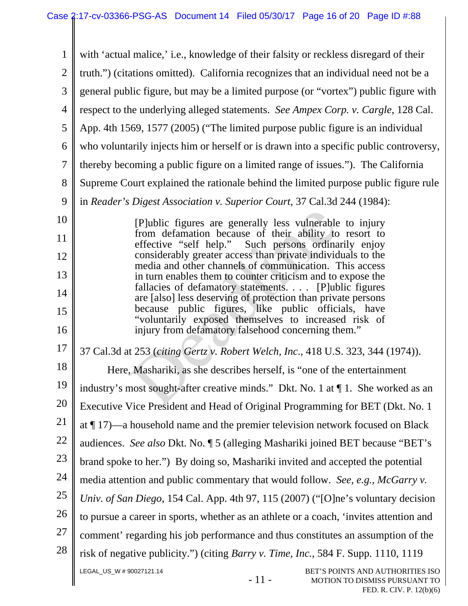LEGAL\_US\_W # 90027121.14 - 11 - BET'S POINTS AND AUTHORITIES ISO MOTION TO DISMISS PURSUANT TO 1 2 3 4 5 6 7 8 9 10 11 12 13 14 15 16 17 18 19 20 21 22 23 24 25 26 27 28 with 'actual malice,' i.e., knowledge of their falsity or reckless disregard of their truth.") (citations omitted). California recognizes that an individual need not be a general public figure, but may be a limited purpose (or "vortex") public figure with respect to the underlying alleged statements. *See Ampex Corp. v. Cargle*, 128 Cal. App. 4th 1569, 1577 (2005) ("The limited purpose public figure is an individual who voluntarily injects him or herself or is drawn into a specific public controversy, thereby becoming a public figure on a limited range of issues."). The California Supreme Court explained the rationale behind the limited purpose public figure rule in *Reader's Digest Association v. Superior Court*, 37 Cal.3d 244 (1984): [P]ublic figures are generally less vulnerable to injury from defamation because of their ability to resort to effective "self help." Such persons ordinarily enjoy considerably greater access than private individuals to the media and other channels of communication. This access in turn enables them to counter criticism and to expose the fallacies of defamatory statements. . . . [P]ublic figures are [also] less deserving of protection than private persons because public figures, like public officials, have "voluntarily exposed themselves to increased risk of injury from defamatory falsehood concerning them." 37 Cal.3d at 253 (*citing Gertz v. Robert Welch, Inc*., 418 U.S. 323, 344 (1974)). Here, Mashariki, as she describes herself, is "one of the entertainment industry's most sought-after creative minds." Dkt. No. 1 at ¶ 1. She worked as an Executive Vice President and Head of Original Programming for BET (Dkt. No. 1 at ¶ 17)—a household name and the premier television network focused on Black audiences. *See also* Dkt. No. ¶ 5 (alleging Mashariki joined BET because "BET's brand spoke to her.") By doing so, Mashariki invited and accepted the potential media attention and public commentary that would follow. *See, e.g., McGarry v. Univ. of San Diego*, 154 Cal. App. 4th 97, 115 (2007) ("[O]ne's voluntary decision to pursue a career in sports, whether as an athlete or a coach, 'invites attention and comment' regarding his job performance and thus constitutes an assumption of the risk of negative publicity.") (citing *Barry v. Time, Inc.*, 584 F. Supp. 1110, 1119 [P]ublic figures are generally less vulnerable<br>from defamation because of their ability to<br>effective "self help." Such persons ordina<br>considerably greater access than private individ<br>media and other channels of communicat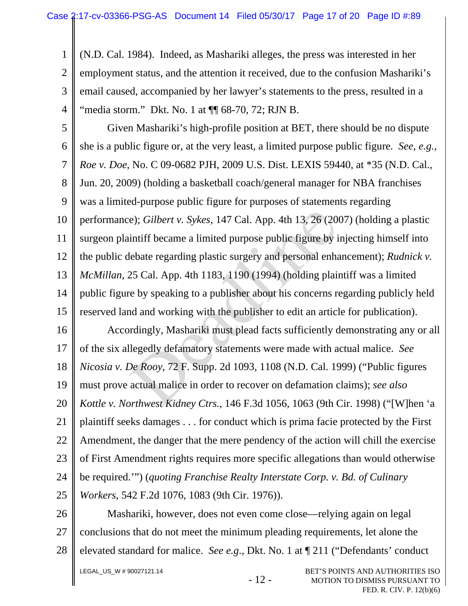1 2 3 4 (N.D. Cal. 1984). Indeed, as Mashariki alleges, the press was interested in her employment status, and the attention it received, due to the confusion Mashariki's email caused, accompanied by her lawyer's statements to the press, resulted in a "media storm." Dkt. No. 1 at  $\P$  68-70, 72; RJN B.

5 6 7 8 9 10 11 12 13 14 15 Given Mashariki's high-profile position at BET, there should be no dispute she is a public figure or, at the very least, a limited purpose public figure. *See, e.g., Roe v. Doe*, No. C 09-0682 PJH, 2009 U.S. Dist. LEXIS 59440, at \*35 (N.D. Cal., Jun. 20, 2009) (holding a basketball coach/general manager for NBA franchises was a limited-purpose public figure for purposes of statements regarding performance); *Gilbert v. Sykes*, 147 Cal. App. 4th 13, 26 (2007) (holding a plastic surgeon plaintiff became a limited purpose public figure by injecting himself into the public debate regarding plastic surgery and personal enhancement); *Rudnick v. McMillan*, 25 Cal. App. 4th 1183, 1190 (1994) (holding plaintiff was a limited public figure by speaking to a publisher about his concerns regarding publicly held reserved land and working with the publisher to edit an article for publication). e); *Gilbert v. Sykes*, 147 Cal. App. 4th 13, 26 (20<br>intiff became a limited purpose public figure by i<br>lebate regarding plastic surgery and personal enha<br>25 Cal. App. 4th 1183, 1190 (1994) (holding plain<br>re by speaking to

16 17 18 19 20 21 22 23 24 25 Accordingly, Mashariki must plead facts sufficiently demonstrating any or all of the six allegedly defamatory statements were made with actual malice. *See Nicosia v. De Rooy*, 72 F. Supp. 2d 1093, 1108 (N.D. Cal. 1999) ("Public figures must prove actual malice in order to recover on defamation claims); *see also Kottle v. Northwest Kidney Ctrs.*, 146 F.3d 1056, 1063 (9th Cir. 1998) ("[W]hen 'a plaintiff seeks damages . . . for conduct which is prima facie protected by the First Amendment, the danger that the mere pendency of the action will chill the exercise of First Amendment rights requires more specific allegations than would otherwise be required.'") (*quoting Franchise Realty Interstate Corp. v. Bd. of Culinary Workers*, 542 F.2d 1076, 1083 (9th Cir. 1976)).

26 27 28 Mashariki, however, does not even come close—relying again on legal conclusions that do not meet the minimum pleading requirements, let alone the elevated standard for malice. *See e.g*., Dkt. No. 1 at ¶ 211 ("Defendants' conduct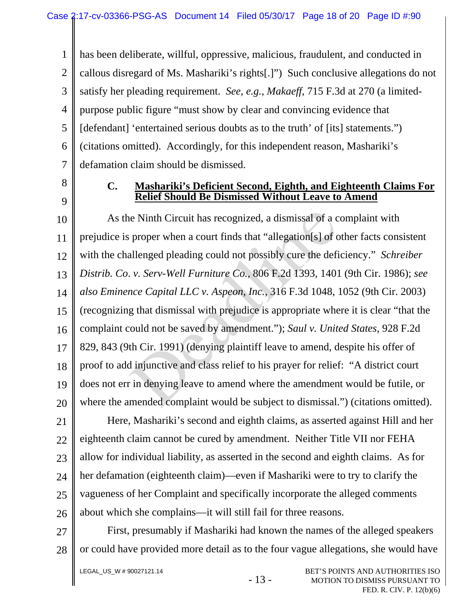1 2 3 4 5 6 7 has been deliberate, willful, oppressive, malicious, fraudulent, and conducted in callous disregard of Ms. Mashariki's rights[.]") Such conclusive allegations do not satisfy her pleading requirement. *See, e.g.*, *Makaeff*, 715 F.3d at 270 (a limitedpurpose public figure "must show by clear and convincing evidence that [defendant] 'entertained serious doubts as to the truth' of [its] statements.") (citations omitted). Accordingly, for this independent reason, Mashariki's defamation claim should be dismissed.

8 9

## **C. Mashariki's Deficient Second, Eighth, and Eighteenth Claims For Relief Should Be Dismissed Without Leave to Amend**

10 11 12 13 14 15 16 17 18 19 20 As the Ninth Circuit has recognized, a dismissal of a complaint with prejudice is proper when a court finds that "allegation[s] of other facts consistent with the challenged pleading could not possibly cure the deficiency." *Schreiber Distrib. Co*. *v. Serv-Well Furniture Co.*, 806 F.2d 1393, 1401 (9th Cir. 1986); *see also Eminence Capital LLC v. Aspeon, Inc.*, 316 F.3d 1048, 1052 (9th Cir. 2003) (recognizing that dismissal with prejudice is appropriate where it is clear "that the complaint could not be saved by amendment."); *Saul v. United States*, 928 F.2d 829, 843 (9th Cir. 1991) (denying plaintiff leave to amend, despite his offer of proof to add injunctive and class relief to his prayer for relief: "A district court does not err in denying leave to amend where the amendment would be futile, or where the amended complaint would be subject to dismissal.") (citations omitted). ie Ninth Circuit has recognized, a dismissal of a c<br>proper when a court finds that "allegation[s] of c<br>allenged pleading could not possibly cure the defi-<br>*v. Serv-Well Furniture Co.*, 806 F.2d 1393, 1401<br>nce Capital LLC

21 22 23 24 25 26 Here, Mashariki's second and eighth claims, as asserted against Hill and her eighteenth claim cannot be cured by amendment. Neither Title VII nor FEHA allow for individual liability, as asserted in the second and eighth claims. As for her defamation (eighteenth claim)—even if Mashariki were to try to clarify the vagueness of her Complaint and specifically incorporate the alleged comments about which she complains—it will still fail for three reasons.

27 28 First, presumably if Mashariki had known the names of the alleged speakers or could have provided more detail as to the four vague allegations, she would have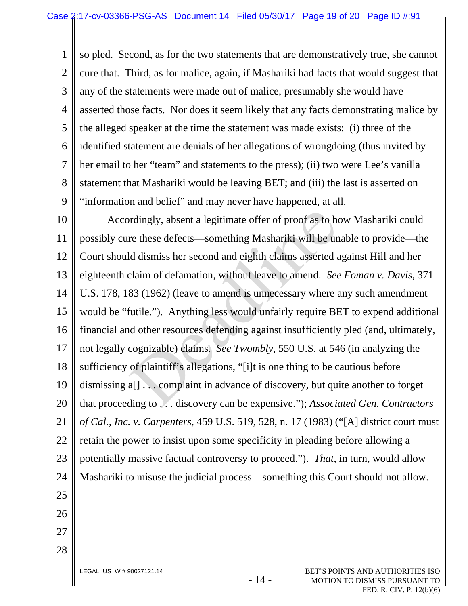1 2 3 4 5 6 7 8 9 so pled. Second, as for the two statements that are demonstratively true, she cannot cure that. Third, as for malice, again, if Mashariki had facts that would suggest that any of the statements were made out of malice, presumably she would have asserted those facts. Nor does it seem likely that any facts demonstrating malice by the alleged speaker at the time the statement was made exists: (i) three of the identified statement are denials of her allegations of wrongdoing (thus invited by her email to her "team" and statements to the press); (ii) two were Lee's vanilla statement that Mashariki would be leaving BET; and (iii) the last is asserted on "information and belief" and may never have happened, at all.

10 11 12 13 14 15 16 17 18 19 20 21 22 23 24 25 26 27 Accordingly, absent a legitimate offer of proof as to how Mashariki could possibly cure these defects—something Mashariki will be unable to provide—the Court should dismiss her second and eighth claims asserted against Hill and her eighteenth claim of defamation, without leave to amend. *See Foman v. Davis*, 371 U.S. 178, 183 (1962) (leave to amend is unnecessary where any such amendment would be "futile."). Anything less would unfairly require BET to expend additional financial and other resources defending against insufficiently pled (and, ultimately, not legally cognizable) claims. *See Twombly*, 550 U.S. at 546 (in analyzing the sufficiency of plaintiff's allegations, "[i]t is one thing to be cautious before dismissing a[] . . . complaint in advance of discovery, but quite another to forget that proceeding to . . . discovery can be expensive."); *Associated Gen. Contractors of Cal., Inc. v. Carpenters*, 459 U.S. 519, 528, n. 17 (1983) ("[A] district court must retain the power to insist upon some specificity in pleading before allowing a potentially massive factual controversy to proceed."). *That*, in turn, would allow Mashariki to misuse the judicial process—something this Court should not allow. ordingly, absent a legitimate offer of proof as to here these defects—something Mashariki will be und dismiss her second and eighth claims asserted a claim of defamation, without leave to amend. See 83 (1962) (leave to am

28